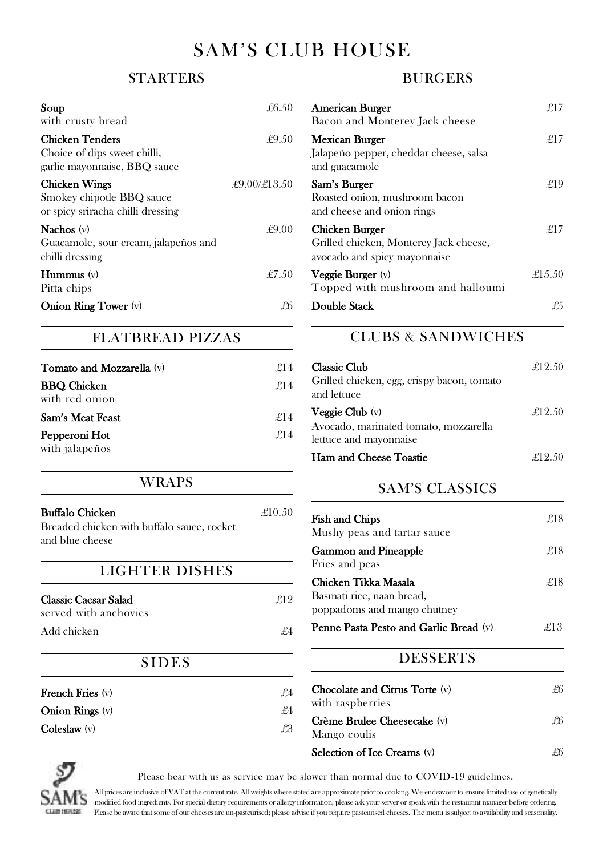# SAM'S CLUB HOUSE

# **STARTERS**

| Soup<br>with crusty bread                                                              | £6.50                      |
|----------------------------------------------------------------------------------------|----------------------------|
| <b>Chicken Tenders</b><br>Choice of dips sweet chilli,<br>garlic mayonnaise, BBQ sauce | £9.50                      |
| Chicken Wings<br>Smokey chipotle BBQ sauce<br>or spicy sriracha chilli dressing        | $\pounds9.00/\pounds13.50$ |
| Nachos $(v)$<br>Guacamole, sour cream, jalapeños and<br>chilli dressing                | f9.00                      |
| <b>Hummus</b> $(v)$<br>Pitta chips                                                     | £7.50                      |
| <b>Onion Ring Tower</b> (v)                                                            | ťħ                         |

#### FLATBREAD PIZZAS

| <b>Tomato and Mozzarella</b> (v)     | £14 |
|--------------------------------------|-----|
| <b>BBQ</b> Chicken<br>with red onion | £14 |
| Sam's Meat Feast                     | f14 |
| Pepperoni Hot                        | f14 |
| with jalapeños                       |     |

#### WRAPS

| <b>Buffalo Chicken</b><br>Breaded chicken with buffalo sauce, rocket<br>and blue cheese | £10,50 |
|-----------------------------------------------------------------------------------------|--------|
| LIGHTER DISHES                                                                          |        |
| Classic Caesar Salad<br>served with anchovies                                           | £12    |
| Add chicken                                                                             | £4     |
| SIDES                                                                                   |        |
| French Fries (v)                                                                        | ₽4     |
| Onion Rings $(v)$                                                                       | £4     |
| $\text{Coleslaw}$ (v)                                                                   | £3     |

## **BURGERS**

| <b>American Burger</b><br>Bacon and Monterey Jack cheese                                 | f17    |
|------------------------------------------------------------------------------------------|--------|
| Mexican Burger<br>Jalapeño pepper, cheddar cheese, salsa<br>and guacamole                | f17    |
| Sam's Burger<br>Roasted onion, mushroom bacon<br>and cheese and onion rings              | -£19   |
| Chicken Burger<br>Grilled chicken, Monterey Jack cheese,<br>avocado and spicy mayonnaise | f17    |
| Veggie Burger (v)<br>Topped with mushroom and halloumi                                   | £15.50 |
| Double Stack                                                                             | ₽5     |

# CLUBS & SANDWICHES

| <b>Classic Club</b><br>Grilled chicken, egg, crispy bacon, tomato<br>and lettuce | £12.50  |
|----------------------------------------------------------------------------------|---------|
| <b>Veggie Club</b> $(v)$<br>Avocado, marinated tomato, mozzarella                | £12.50  |
| lettuce and mayonnaise<br>Ham and Cheese Toastie                                 | ₽19 50. |

# SAM'S CLASSICS

| <b>Fish and Chips</b><br>Mushy peas and tartar sauce                             | £18  |
|----------------------------------------------------------------------------------|------|
| <b>Gammon and Pineapple</b><br>Fries and peas                                    | -£18 |
| Chicken Tikka Masala<br>Basmati rice, naan bread,<br>poppadoms and mango chutney | ₽18  |
| Penne Pasta Pesto and Garlic Bread (v)                                           | f13  |

# **DESSERTS**

| <b>Chocolate and Citrus Torte</b> (v)<br>with raspberries | £6 |  |
|-----------------------------------------------------------|----|--|
| Crème Brulee Cheesecake (v)                               | ₽6 |  |
| Mango coulis                                              |    |  |
| Selection of Ice Creams (v)                               |    |  |



Please bear with us as service may be slower than normal due to COVID-19 guidelines.

All prices are inclusive of VAT at the current rate. All weights where stated are approximate prior to cooking. We endeavour to ensure limited use of genetically **SAM'S** all prices are inclusive of VAT at the current rate. All weights where stated are approximate prior to spoking the current manager before ordering.<br>SAM'S modified food ingredients. For special dietary requirements Please be aware that some of our cheeses are un-pasteurised; please advise if you require pasteurised cheeses. The menu is subject to availability and seasonality.